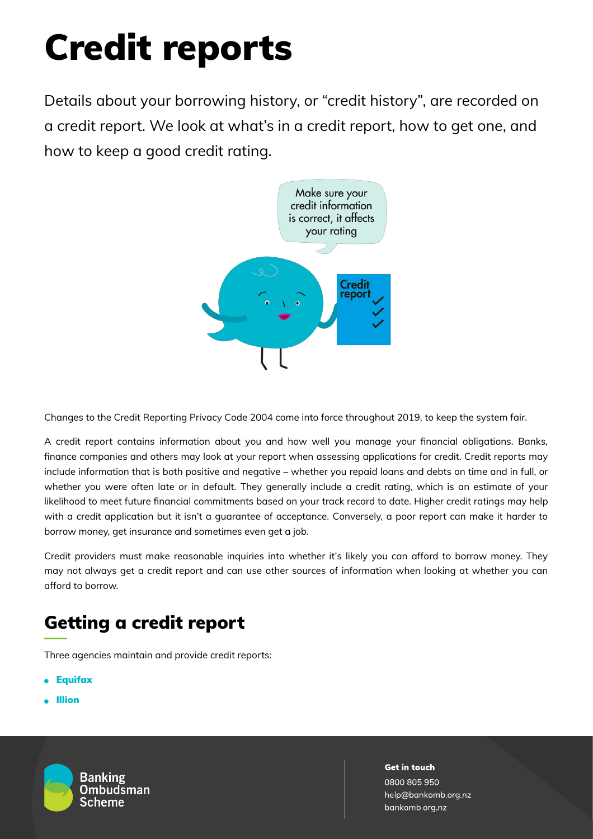# Credit reports

Details about your borrowing history, or "credit history", are recorded on a credit report. We look at what's in a credit report, how to get one, and how to keep a good credit rating.



Changes to the Credit Reporting Privacy Code 2004 come into force throughout 2019, to keep the system fair.

A credit report contains information about you and how well you manage your financial obligations. Banks, finance companies and others may look at your report when assessing applications for credit. Credit reports may include information that is both positive and negative – whether you repaid loans and debts on time and in full, or whether you were often late or in default. They generally include a credit rating, which is an estimate of your likelihood to meet future financial commitments based on your track record to date. Higher credit ratings may help with a credit application but it isn't a guarantee of acceptance. Conversely, a poor report can make it harder to borrow money, get insurance and sometimes even get a job.

Credit providers must make reasonable inquiries into whether it's likely you can afford to borrow money. They may not always get a credit report and can use other sources of information when looking at whether you can afford to borrow.

## Getting a credit report

Three agencies maintain and provide credit reports:

- **[Equifax](https://www.mycreditfile.co.nz/products/my-credit-file)**
- [Illion](https://www.illion.co.nz/)



**Get in touch** 0800 805 950 help@bankomb.org.nz bankomb.org.nz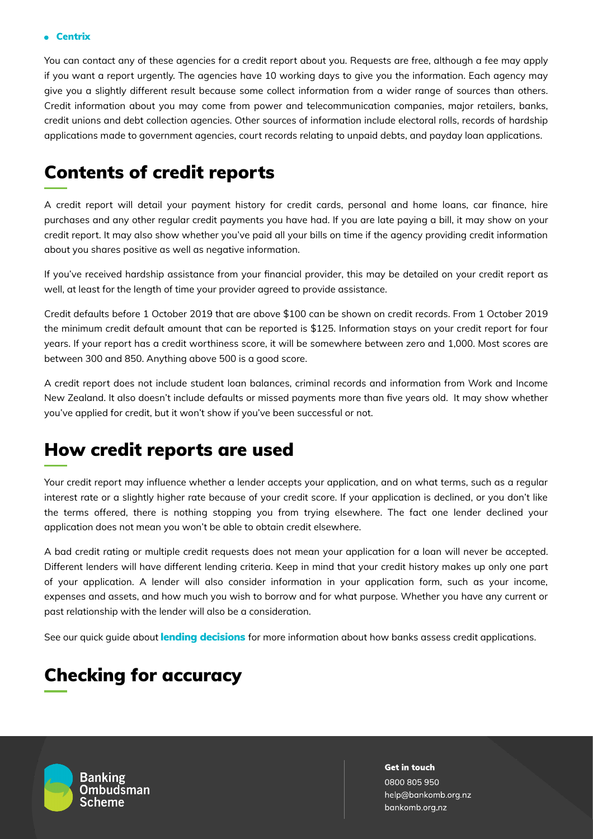#### [Centrix](https://www.centrix.co.nz/personal/get-credit-report/)

You can contact any of these agencies for a credit report about you. Requests are free, although a fee may apply if you want a report urgently. The agencies have 10 working days to give you the information. Each agency may give you a slightly different result because some collect information from a wider range of sources than others. Credit information about you may come from power and telecommunication companies, major retailers, banks, credit unions and debt collection agencies. Other sources of information include electoral rolls, records of hardship applications made to government agencies, court records relating to unpaid debts, and payday loan applications.

### Contents of credit reports

A credit report will detail your payment history for credit cards, personal and home loans, car finance, hire purchases and any other regular credit payments you have had. If you are late paying a bill, it may show on your credit report. It may also show whether you've paid all your bills on time if the agency providing credit information about you shares positive as well as negative information.

If you've received hardship assistance from your financial provider, this may be detailed on your credit report as well, at least for the length of time your provider agreed to provide assistance.

Credit defaults before 1 October 2019 that are above \$100 can be shown on credit records. From 1 October 2019 the minimum credit default amount that can be reported is \$125. Information stays on your credit report for four years. If your report has a credit worthiness score, it will be somewhere between zero and 1,000. Most scores are between 300 and 850. Anything above 500 is a good score.

A credit report does not include student loan balances, criminal records and information from Work and Income New Zealand. It also doesn't include defaults or missed payments more than five years old. It may show whether you've applied for credit, but it won't show if you've been successful or not.

#### How credit reports are used

Your credit report may influence whether a lender accepts your application, and on what terms, such as a regular interest rate or a slightly higher rate because of your credit score. If your application is declined, or you don't like the terms offered, there is nothing stopping you from trying elsewhere. The fact one lender declined your application does not mean you won't be able to obtain credit elsewhere.

A bad credit rating or multiple credit requests does not mean your application for a loan will never be accepted. Different lenders will have different lending criteria. Keep in mind that your credit history makes up only one part of your application. A lender will also consider information in your application form, such as your income, expenses and assets, and how much you wish to borrow and for what purpose. Whether you have any current or past relationship with the lender will also be a consideration.

See our quick guide about **lending [decisions](https://bankomb.org.nz/guides-and-cases/quick-guides/lending/concerns-about-lending-decisions/)** for more information about how banks assess credit applications.

### Checking for accuracy



**Get in touch** 0800 805 950 help@bankomb.org.nz bankomb.org.nz